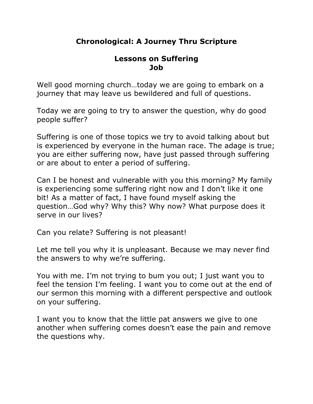# **Chronological: A Journey Thru Scripture**

### **Lessons on Suffering Job**

Well good morning church…today we are going to embark on a journey that may leave us bewildered and full of questions.

Today we are going to try to answer the question, why do good people suffer?

Suffering is one of those topics we try to avoid talking about but is experienced by everyone in the human race. The adage is true; you are either suffering now, have just passed through suffering or are about to enter a period of suffering.

Can I be honest and vulnerable with you this morning? My family is experiencing some suffering right now and I don't like it one bit! As a matter of fact, I have found myself asking the question…God why? Why this? Why now? What purpose does it serve in our lives?

Can you relate? Suffering is not pleasant!

Let me tell you why it is unpleasant. Because we may never find the answers to why we're suffering.

You with me. I'm not trying to bum you out; I just want you to feel the tension I'm feeling. I want you to come out at the end of our sermon this morning with a different perspective and outlook on your suffering.

I want you to know that the little pat answers we give to one another when suffering comes doesn't ease the pain and remove the questions why.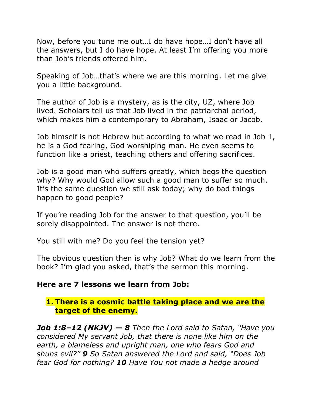Now, before you tune me out…I do have hope…I don't have all the answers, but I do have hope. At least I'm offering you more than Job's friends offered him.

Speaking of Job…that's where we are this morning. Let me give you a little background.

The author of Job is a mystery, as is the city, UZ, where Job lived. Scholars tell us that Job lived in the patriarchal period, which makes him a contemporary to Abraham, Isaac or Jacob.

Job himself is not Hebrew but according to what we read in Job 1, he is a God fearing, God worshiping man. He even seems to function like a priest, teaching others and offering sacrifices.

Job is a good man who suffers greatly, which begs the question why? Why would God allow such a good man to suffer so much. It's the same question we still ask today; why do bad things happen to good people?

If you're reading Job for the answer to that question, you'll be sorely disappointed. The answer is not there.

You still with me? Do you feel the tension yet?

The obvious question then is why Job? What do we learn from the book? I'm glad you asked, that's the sermon this morning.

### **Here are 7 lessons we learn from Job:**

### **1. There is a cosmic battle taking place and we are the target of the enemy.**

*Job 1:8–12 (NKJV) — 8 Then the Lord said to Satan, "Have you considered My servant Job, that there is none like him on the earth, a blameless and upright man, one who fears God and shuns evil?" 9 So Satan answered the Lord and said, "Does Job fear God for nothing? 10 Have You not made a hedge around*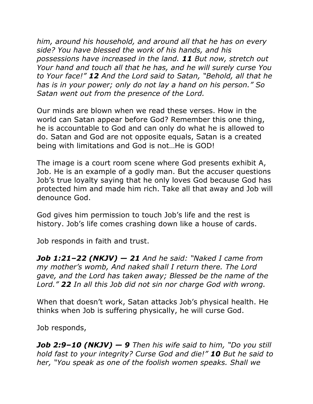*him, around his household, and around all that he has on every side? You have blessed the work of his hands, and his possessions have increased in the land. 11 But now, stretch out Your hand and touch all that he has, and he will surely curse You to Your face!" 12 And the Lord said to Satan, "Behold, all that he has is in your power; only do not lay a hand on his person." So Satan went out from the presence of the Lord.*

Our minds are blown when we read these verses. How in the world can Satan appear before God? Remember this one thing, he is accountable to God and can only do what he is allowed to do. Satan and God are not opposite equals, Satan is a created being with limitations and God is not…He is GOD!

The image is a court room scene where God presents exhibit A, Job. He is an example of a godly man. But the accuser questions Job's true loyalty saying that he only loves God because God has protected him and made him rich. Take all that away and Job will denounce God.

God gives him permission to touch Job's life and the rest is history. Job's life comes crashing down like a house of cards.

Job responds in faith and trust.

*Job 1:21–22 (NKJV) — 21 And he said: "Naked I came from my mother's womb, And naked shall I return there. The Lord gave, and the Lord has taken away; Blessed be the name of the Lord." 22 In all this Job did not sin nor charge God with wrong.*

When that doesn't work, Satan attacks Job's physical health. He thinks when Job is suffering physically, he will curse God.

Job responds,

*Job 2:9–10 (NKJV) — 9 Then his wife said to him, "Do you still hold fast to your integrity? Curse God and die!" 10 But he said to her, "You speak as one of the foolish women speaks. Shall we*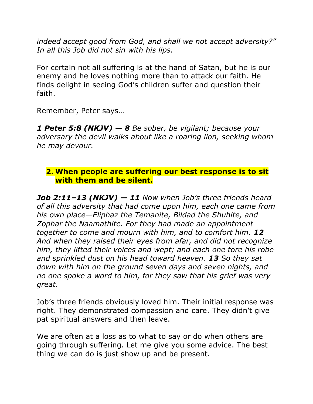*indeed accept good from God, and shall we not accept adversity?" In all this Job did not sin with his lips.*

For certain not all suffering is at the hand of Satan, but he is our enemy and he loves nothing more than to attack our faith. He finds delight in seeing God's children suffer and question their faith.

Remember, Peter says…

*1 Peter 5:8 (NKJV) — 8 Be sober, be vigilant; because your adversary the devil walks about like a roaring lion, seeking whom he may devour.*

### **2. When people are suffering our best response is to sit with them and be silent.**

*Job 2:11–13 (NKJV) — 11 Now when Job's three friends heard of all this adversity that had come upon him, each one came from his own place—Eliphaz the Temanite, Bildad the Shuhite, and Zophar the Naamathite. For they had made an appointment together to come and mourn with him, and to comfort him. 12 And when they raised their eyes from afar, and did not recognize him, they lifted their voices and wept; and each one tore his robe and sprinkled dust on his head toward heaven. 13 So they sat down with him on the ground seven days and seven nights, and no one spoke a word to him, for they saw that his grief was very great.*

Job's three friends obviously loved him. Their initial response was right. They demonstrated compassion and care. They didn't give pat spiritual answers and then leave.

We are often at a loss as to what to say or do when others are going through suffering. Let me give you some advice. The best thing we can do is just show up and be present.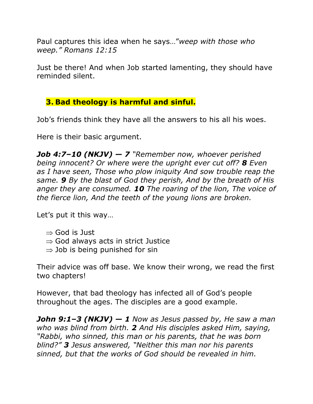Paul captures this idea when he says…"*weep with those who weep." Romans 12:15*

Just be there! And when Job started lamenting, they should have reminded silent.

# **3. Bad theology is harmful and sinful.**

Job's friends think they have all the answers to his all his woes.

Here is their basic argument.

*Job 4:7–10 (NKJV) — 7 "Remember now, whoever perished being innocent? Or where were the upright ever cut off? 8 Even as I have seen, Those who plow iniquity And sow trouble reap the same. 9 By the blast of God they perish, And by the breath of His anger they are consumed. 10 The roaring of the lion, The voice of the fierce lion, And the teeth of the young lions are broken.*

Let's put it this way…

- $\Rightarrow$  God is Just
- $\Rightarrow$  God always acts in strict Justice
- $\Rightarrow$  Job is being punished for sin

Their advice was off base. We know their wrong, we read the first two chapters!

However, that bad theology has infected all of God's people throughout the ages. The disciples are a good example.

*John 9:1–3 (NKJV) — 1 Now as Jesus passed by, He saw a man who was blind from birth. 2 And His disciples asked Him, saying, "Rabbi, who sinned, this man or his parents, that he was born blind?" 3 Jesus answered, "Neither this man nor his parents sinned, but that the works of God should be revealed in him.*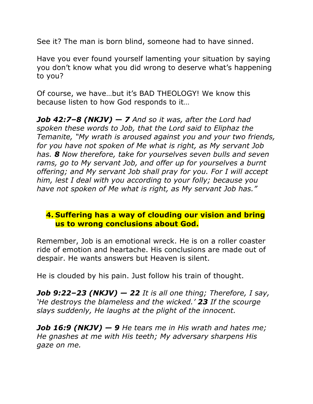See it? The man is born blind, someone had to have sinned.

Have you ever found yourself lamenting your situation by saying you don't know what you did wrong to deserve what's happening to you?

Of course, we have…but it's BAD THEOLOGY! We know this because listen to how God responds to it…

*Job 42:7–8 (NKJV) — 7 And so it was, after the Lord had spoken these words to Job, that the Lord said to Eliphaz the Temanite, "My wrath is aroused against you and your two friends, for you have not spoken of Me what is right, as My servant Job has. 8 Now therefore, take for yourselves seven bulls and seven rams, go to My servant Job, and offer up for yourselves a burnt offering; and My servant Job shall pray for you. For I will accept him, lest I deal with you according to your folly; because you have not spoken of Me what is right, as My servant Job has."*

### **4. Suffering has a way of clouding our vision and bring us to wrong conclusions about God.**

Remember, Job is an emotional wreck. He is on a roller coaster ride of emotion and heartache. His conclusions are made out of despair. He wants answers but Heaven is silent.

He is clouded by his pain. Just follow his train of thought.

*Job 9:22–23 (NKJV) — 22 It is all one thing; Therefore, I say, 'He destroys the blameless and the wicked.' 23 If the scourge slays suddenly, He laughs at the plight of the innocent.*

*Job 16:9 (NKJV) — 9 He tears me in His wrath and hates me; He gnashes at me with His teeth; My adversary sharpens His gaze on me.*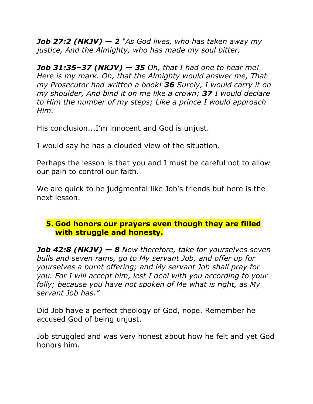*Job 27:2 (NKJV) — 2 "As God lives, who has taken away my justice, And the Almighty, who has made my soul bitter,*

*Job 31:35–37 (NKJV) — 35 Oh, that I had one to hear me! Here is my mark. Oh, that the Almighty would answer me, That my Prosecutor had written a book! 36 Surely, I would carry it on my shoulder, And bind it on me like a crown; 37 I would declare to Him the number of my steps; Like a prince I would approach Him.*

His conclusion...I'm innocent and God is unjust.

I would say he has a clouded view of the situation.

Perhaps the lesson is that you and I must be careful not to allow our pain to control our faith.

We are quick to be judgmental like Job's friends but here is the next lesson.

# **5. God honors our prayers even though they are filled with struggle and honesty.**

*Job 42:8 (NKJV) — 8 Now therefore, take for yourselves seven bulls and seven rams, go to My servant Job, and offer up for yourselves a burnt offering; and My servant Job shall pray for you. For I will accept him, lest I deal with you according to your folly; because you have not spoken of Me what is right, as My servant Job has."*

Did Job have a perfect theology of God, nope. Remember he accused God of being unjust.

Job struggled and was very honest about how he felt and yet God honors him.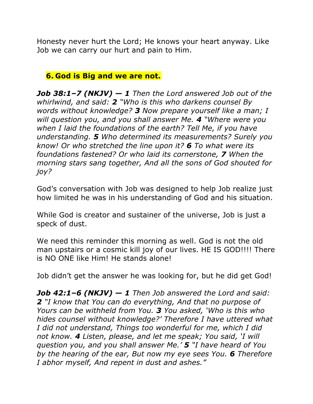Honesty never hurt the Lord; He knows your heart anyway. Like Job we can carry our hurt and pain to Him.

# **6. God is Big and we are not.**

*Job 38:1–7 (NKJV) — 1 Then the Lord answered Job out of the whirlwind, and said: 2 "Who is this who darkens counsel By words without knowledge? 3 Now prepare yourself like a man; I will question you, and you shall answer Me. 4 "Where were you when I laid the foundations of the earth? Tell Me, if you have understanding. 5 Who determined its measurements? Surely you know! Or who stretched the line upon it? 6 To what were its foundations fastened? Or who laid its cornerstone, 7 When the morning stars sang together, And all the sons of God shouted for joy?*

God's conversation with Job was designed to help Job realize just how limited he was in his understanding of God and his situation.

While God is creator and sustainer of the universe, Job is just a speck of dust.

We need this reminder this morning as well. God is not the old man upstairs or a cosmic kill joy of our lives. HE IS GOD!!!! There is NO ONE like Him! He stands alone!

Job didn't get the answer he was looking for, but he did get God!

*Job 42:1–6 (NKJV) — 1 Then Job answered the Lord and said: 2 "I know that You can do everything, And that no purpose of Yours can be withheld from You. 3 You asked, 'Who is this who hides counsel without knowledge?' Therefore I have uttered what I did not understand, Things too wonderful for me, which I did not know. 4 Listen, please, and let me speak; You said, 'I will question you, and you shall answer Me.' 5 "I have heard of You by the hearing of the ear, But now my eye sees You. 6 Therefore I abhor myself, And repent in dust and ashes."*